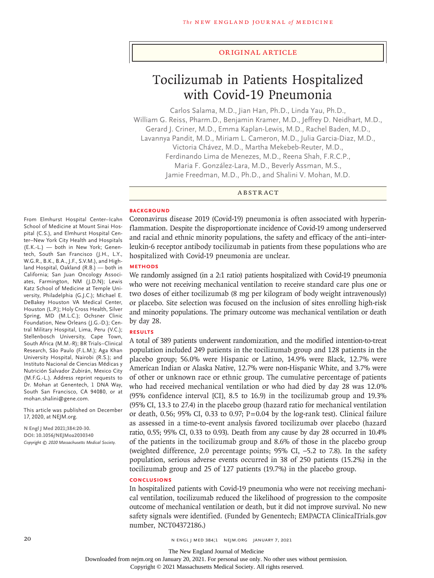#### Original Article

# Tocilizumab in Patients Hospitalized with Covid-19 Pneumonia

Carlos Salama, M.D., Jian Han, Ph.D., Linda Yau, Ph.D., William G. Reiss, Pharm.D., Benjamin Kramer, M.D., Jeffrey D. Neidhart, M.D., Gerard J. Criner, M.D., Emma Kaplan-Lewis, M.D., Rachel Baden, M.D., Lavannya Pandit, M.D., Miriam L. Cameron, M.D., Julia Garcia-Diaz, M.D., Victoria Chávez, M.D., Martha Mekebeb-Reuter, M.D., Ferdinando Lima de Menezes, M.D., Reena Shah, F.R.C.P., Maria F. González-Lara, M.D., Beverly Assman, M.S., Jamie Freedman, M.D., Ph.D., and Shalini V. Mohan, M.D.

ABSTRACT

#### **BACKGROUND**

Coronavirus disease 2019 (Covid-19) pneumonia is often associated with hyperinflammation. Despite the disproportionate incidence of Covid-19 among underserved and racial and ethnic minority populations, the safety and efficacy of the anti–interleukin-6 receptor antibody tocilizumab in patients from these populations who are hospitalized with Covid-19 pneumonia are unclear.

# **METHODS**

We randomly assigned (in a 2:1 ratio) patients hospitalized with Covid-19 pneumonia who were not receiving mechanical ventilation to receive standard care plus one or two doses of either tocilizumab (8 mg per kilogram of body weight intravenously) or placebo. Site selection was focused on the inclusion of sites enrolling high-risk and minority populations. The primary outcome was mechanical ventilation or death by day 28.

# **RESULTS**

A total of 389 patients underwent randomization, and the modified intention-to-treat population included 249 patients in the tocilizumab group and 128 patients in the placebo group; 56.0% were Hispanic or Latino, 14.9% were Black, 12.7% were American Indian or Alaska Native, 12.7% were non-Hispanic White, and 3.7% were of other or unknown race or ethnic group. The cumulative percentage of patients who had received mechanical ventilation or who had died by day 28 was 12.0% (95% confidence interval [CI], 8.5 to 16.9) in the tocilizumab group and 19.3% (95% CI, 13.3 to 27.4) in the placebo group (hazard ratio for mechanical ventilation or death, 0.56; 95% CI, 0.33 to 0.97;  $P=0.04$  by the log-rank test). Clinical failure as assessed in a time-to-event analysis favored tocilizumab over placebo (hazard ratio, 0.55; 95% CI, 0.33 to 0.93). Death from any cause by day 28 occurred in 10.4% of the patients in the tocilizumab group and 8.6% of those in the placebo group (weighted difference, 2.0 percentage points; 95% CI, –5.2 to 7.8). In the safety population, serious adverse events occurred in 38 of 250 patients (15.2%) in the tocilizumab group and 25 of 127 patients (19.7%) in the placebo group.

# **CONCLUSIONS**

In hospitalized patients with Covid-19 pneumonia who were not receiving mechanical ventilation, tocilizumab reduced the likelihood of progression to the composite outcome of mechanical ventilation or death, but it did not improve survival. No new safety signals were identified. (Funded by Genentech; EMPACTA ClinicalTrials.gov number, NCT04372186.)

From Elmhurst Hospital Center–Icahn School of Medicine at Mount Sinai Hospital (C.S.), and Elmhurst Hospital Center–New York City Health and Hospitals (E.K.-L.) — both in New York; Genentech, South San Francisco (J.H., L.Y., W.G.R., B.K., B.A., J.F., S.V.M.), and Highland Hospital, Oakland (R.B.) — both in California; San Juan Oncology Associates, Farmington, NM (J.D.N); Lewis Katz School of Medicine at Temple University, Philadelphia (G.J.C.); Michael E. DeBakey Houston VA Medical Center, Houston (L.P.); Holy Cross Health, Silver Spring, MD (M.L.C.); Ochsner Clinic Foundation, New Orleans (J.G.-D.); Central Military Hospital, Lima, Peru (V.C.); Stellenbosch University, Cape Town, South Africa (M.M.-R); BR Trials–Clinical Research, São Paulo (F.L.M.); Aga Khan University Hospital, Nairobi (R.S.); and Instituto Nacional de Ciencias Médicas y Nutrición Salvador Zubirán, Mexico City (M.F.G.-L.). Address reprint requests to Dr. Mohan at Genentech, 1 DNA Way, South San Francisco, CA 94080, or at mohan.shalini@gene.com.

This article was published on December 17, 2020, at NEJM.org.

**N Engl J Med 2021;384:20-30. DOI: 10.1056/NEJMoa2030340** *Copyright © 2020 Massachusetts Medical Society.*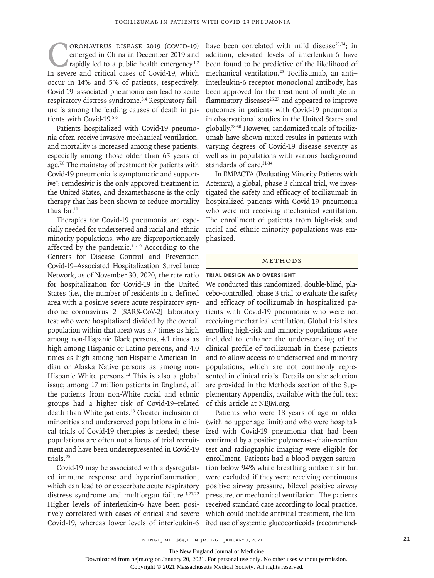CORONAVIRUS DISEASE 2019 (COVID-19)<br>emerged in China in December 2019 and<br>rapidly led to a public health emergency.<sup>1,2</sup><br>In severe and critical cases of Covid-19, which emerged in China in December 2019 and rapidly led to a public health emergency.<sup>1,2</sup> In severe and critical cases of Covid-19, which occur in 14% and 5% of patients, respectively, Covid-19–associated pneumonia can lead to acute respiratory distress syndrome.<sup>3,4</sup> Respiratory failure is among the leading causes of death in patients with Covid-19.5,6

Patients hospitalized with Covid-19 pneumonia often receive invasive mechanical ventilation, and mortality is increased among these patients, especially among those older than 65 years of age.<sup>7,8</sup> The mainstay of treatment for patients with Covid-19 pneumonia is symptomatic and supportive<sup>9</sup>; remdesivir is the only approved treatment in the United States, and dexamethasone is the only therapy that has been shown to reduce mortality thus far.10

Therapies for Covid-19 pneumonia are especially needed for underserved and racial and ethnic minority populations, who are disproportionately affected by the pandemic.11-19 According to the Centers for Disease Control and Prevention Covid-19–Associated Hospitalization Surveillance Network, as of November 30, 2020, the rate ratio for hospitalization for Covid-19 in the United States (i.e., the number of residents in a defined area with a positive severe acute respiratory syndrome coronavirus 2 [SARS-CoV-2] laboratory test who were hospitalized divided by the overall population within that area) was 3.7 times as high among non-Hispanic Black persons, 4.1 times as high among Hispanic or Latino persons, and 4.0 times as high among non-Hispanic American Indian or Alaska Native persons as among non-Hispanic White persons.<sup>12</sup> This is also a global issue; among 17 million patients in England, all the patients from non-White racial and ethnic groups had a higher risk of Covid-19–related death than White patients.13 Greater inclusion of minorities and underserved populations in clinical trials of Covid-19 therapies is needed; these populations are often not a focus of trial recruitment and have been underrepresented in Covid-19 trials.20

Covid-19 may be associated with a dysregulated immune response and hyperinflammation, which can lead to or exacerbate acute respiratory distress syndrome and multiorgan failure.<sup>4,21,22</sup> Higher levels of interleukin-6 have been positively correlated with cases of critical and severe Covid-19, whereas lower levels of interleukin-6

have been correlated with mild disease<sup>23,24</sup>; in addition, elevated levels of interleukin-6 have been found to be predictive of the likelihood of mechanical ventilation.25 Tocilizumab, an anti– interleukin-6 receptor monoclonal antibody, has been approved for the treatment of multiple inflammatory diseases $26,27$  and appeared to improve outcomes in patients with Covid-19 pneumonia in observational studies in the United States and globally.28-30 However, randomized trials of tocilizumab have shown mixed results in patients with varying degrees of Covid-19 disease severity as well as in populations with various background standards of care.<sup>31-34</sup>

In EMPACTA (Evaluating Minority Patients with Actemra), a global, phase 3 clinical trial, we investigated the safety and efficacy of tocilizumab in hospitalized patients with Covid-19 pneumonia who were not receiving mechanical ventilation. The enrollment of patients from high-risk and racial and ethnic minority populations was emphasized.

#### METHODS

#### **Trial Design and Oversight**

We conducted this randomized, double-blind, placebo-controlled, phase 3 trial to evaluate the safety and efficacy of tocilizumab in hospitalized patients with Covid-19 pneumonia who were not receiving mechanical ventilation. Global trial sites enrolling high-risk and minority populations were included to enhance the understanding of the clinical profile of tocilizumab in these patients and to allow access to underserved and minority populations, which are not commonly represented in clinical trials. Details on site selection are provided in the Methods section of the Supplementary Appendix, available with the full text of this article at NEJM.org.

Patients who were 18 years of age or older (with no upper age limit) and who were hospitalized with Covid-19 pneumonia that had been confirmed by a positive polymerase-chain-reaction test and radiographic imaging were eligible for enrollment. Patients had a blood oxygen saturation below 94% while breathing ambient air but were excluded if they were receiving continuous positive airway pressure, bilevel positive airway pressure, or mechanical ventilation. The patients received standard care according to local practice, which could include antiviral treatment, the limited use of systemic glucocorticoids (recommend-

The New England Journal of Medicine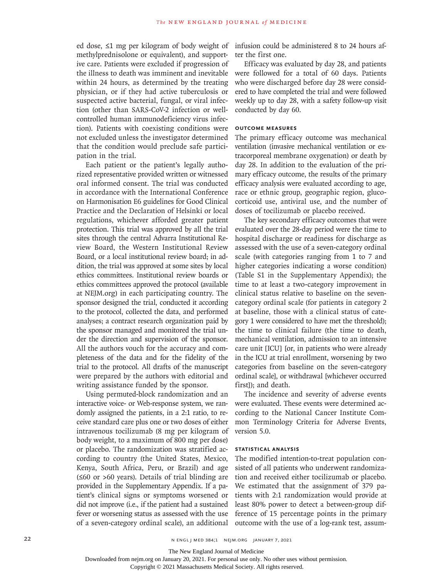ed dose, ≤1 mg per kilogram of body weight of infusion could be administered 8 to 24 hours afmethylprednisolone or equivalent), and supportive care. Patients were excluded if progression of the illness to death was imminent and inevitable within 24 hours, as determined by the treating physician, or if they had active tuberculosis or suspected active bacterial, fungal, or viral infection (other than SARS-CoV-2 infection or wellcontrolled human immunodeficiency virus infection). Patients with coexisting conditions were not excluded unless the investigator determined that the condition would preclude safe participation in the trial.

Each patient or the patient's legally authorized representative provided written or witnessed oral informed consent. The trial was conducted in accordance with the International Conference on Harmonisation E6 guidelines for Good Clinical Practice and the Declaration of Helsinki or local regulations, whichever afforded greater patient protection. This trial was approved by all the trial sites through the central Advarra Institutional Review Board, the Western Institutional Review Board, or a local institutional review board; in addition, the trial was approved at some sites by local ethics committees. Institutional review boards or ethics committees approved the protocol (available at NEJM.org) in each participating country. The sponsor designed the trial, conducted it according to the protocol, collected the data, and performed analyses; a contract research organization paid by the sponsor managed and monitored the trial under the direction and supervision of the sponsor. All the authors vouch for the accuracy and completeness of the data and for the fidelity of the trial to the protocol. All drafts of the manuscript were prepared by the authors with editorial and writing assistance funded by the sponsor.

Using permuted-block randomization and an interactive voice- or Web-response system, we randomly assigned the patients, in a 2:1 ratio, to receive standard care plus one or two doses of either intravenous tocilizumab (8 mg per kilogram of body weight, to a maximum of 800 mg per dose) or placebo. The randomization was stratified according to country (the United States, Mexico, Kenya, South Africa, Peru, or Brazil) and age (≤60 or >60 years). Details of trial blinding are provided in the Supplementary Appendix. If a patient's clinical signs or symptoms worsened or did not improve (i.e., if the patient had a sustained fever or worsening status as assessed with the use of a seven-category ordinal scale), an additional

ter the first one.

Efficacy was evaluated by day 28, and patients were followed for a total of 60 days. Patients who were discharged before day 28 were considered to have completed the trial and were followed weekly up to day 28, with a safety follow-up visit conducted by day 60.

# **Outcome Measures**

The primary efficacy outcome was mechanical ventilation (invasive mechanical ventilation or extracorporeal membrane oxygenation) or death by day 28. In addition to the evaluation of the primary efficacy outcome, the results of the primary efficacy analysis were evaluated according to age, race or ethnic group, geographic region, glucocorticoid use, antiviral use, and the number of doses of tocilizumab or placebo received.

The key secondary efficacy outcomes that were evaluated over the 28-day period were the time to hospital discharge or readiness for discharge as assessed with the use of a seven-category ordinal scale (with categories ranging from 1 to 7 and higher categories indicating a worse condition) (Table S1 in the Supplementary Appendix); the time to at least a two-category improvement in clinical status relative to baseline on the sevencategory ordinal scale (for patients in category 2 at baseline, those with a clinical status of category 1 were considered to have met the threshold); the time to clinical failure (the time to death, mechanical ventilation, admission to an intensive care unit [ICU] [or, in patients who were already in the ICU at trial enrollment, worsening by two categories from baseline on the seven-category ordinal scale], or withdrawal [whichever occurred first]); and death.

The incidence and severity of adverse events were evaluated. These events were determined according to the National Cancer Institute Common Terminology Criteria for Adverse Events, version 5.0.

# **Statistical Analysis**

The modified intention-to-treat population consisted of all patients who underwent randomization and received either tocilizumab or placebo. We estimated that the assignment of 379 patients with 2:1 randomization would provide at least 80% power to detect a between-group difference of 15 percentage points in the primary outcome with the use of a log-rank test, assum-

The New England Journal of Medicine

Downloaded from nejm.org on January 20, 2021. For personal use only. No other uses without permission.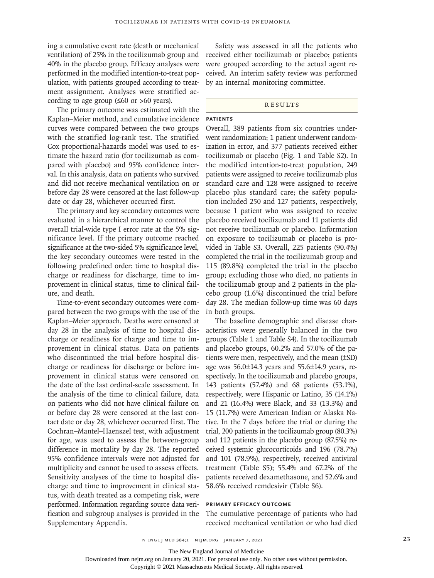ing a cumulative event rate (death or mechanical ventilation) of 25% in the tocilizumab group and 40% in the placebo group. Efficacy analyses were performed in the modified intention-to-treat population, with patients grouped according to treatment assignment. Analyses were stratified according to age group  $(≤60$  or >60 years).

The primary outcome was estimated with the Kaplan–Meier method, and cumulative incidence curves were compared between the two groups with the stratified log-rank test. The stratified Cox proportional-hazards model was used to estimate the hazard ratio (for tocilizumab as compared with placebo) and 95% confidence interval. In this analysis, data on patients who survived and did not receive mechanical ventilation on or before day 28 were censored at the last follow-up date or day 28, whichever occurred first.

The primary and key secondary outcomes were evaluated in a hierarchical manner to control the overall trial-wide type I error rate at the 5% significance level. If the primary outcome reached significance at the two-sided 5% significance level, the key secondary outcomes were tested in the following predefined order: time to hospital discharge or readiness for discharge, time to improvement in clinical status, time to clinical failure, and death.

Time-to-event secondary outcomes were compared between the two groups with the use of the Kaplan–Meier approach. Deaths were censored at day 28 in the analysis of time to hospital discharge or readiness for charge and time to improvement in clinical status. Data on patients who discontinued the trial before hospital discharge or readiness for discharge or before improvement in clinical status were censored on the date of the last ordinal-scale assessment. In the analysis of the time to clinical failure, data on patients who did not have clinical failure on or before day 28 were censored at the last contact date or day 28, whichever occurred first. The Cochran–Mantel–Haenszel test, with adjustment for age, was used to assess the between-group difference in mortality by day 28. The reported 95% confidence intervals were not adjusted for multiplicity and cannot be used to assess effects. Sensitivity analyses of the time to hospital discharge and time to improvement in clinical status, with death treated as a competing risk, were performed. Information regarding source data verification and subgroup analyses is provided in the Supplementary Appendix.

Safety was assessed in all the patients who received either tocilizumab or placebo; patients were grouped according to the actual agent received. An interim safety review was performed by an internal monitoring committee.

#### **RESULTS**

## **Patients**

Overall, 389 patients from six countries underwent randomization; 1 patient underwent randomization in error, and 377 patients received either tocilizumab or placebo (Fig. 1 and Table S2). In the modified intention-to-treat population, 249 patients were assigned to receive tocilizumab plus standard care and 128 were assigned to receive placebo plus standard care; the safety population included 250 and 127 patients, respectively, because 1 patient who was assigned to receive placebo received tocilizumab and 11 patients did not receive tocilizumab or placebo. Information on exposure to tocilizumab or placebo is provided in Table S3. Overall, 225 patients (90.4%) completed the trial in the tocilizumab group and 115 (89.8%) completed the trial in the placebo group; excluding those who died, no patients in the tocilizumab group and 2 patients in the placebo group (1.6%) discontinued the trial before day 28. The median follow-up time was 60 days in both groups.

The baseline demographic and disease characteristics were generally balanced in the two groups (Table 1 and Table S4). In the tocilizumab and placebo groups, 60.2% and 57.0% of the patients were men, respectively, and the mean (±SD) age was 56.0±14.3 years and 55.6±14.9 years, respectively. In the tocilizumab and placebo groups, 143 patients (57.4%) and 68 patients (53.1%), respectively, were Hispanic or Latino, 35 (14.1%) and 21 (16.4%) were Black, and 33 (13.3%) and 15 (11.7%) were American Indian or Alaska Native. In the 7 days before the trial or during the trial, 200 patients in the tocilizumab group (80.3%) and 112 patients in the placebo group (87.5%) received systemic glucocorticoids and 196 (78.7%) and 101 (78.9%), respectively, received antiviral treatment (Table S5); 55.4% and 67.2% of the patients received dexamethasone, and 52.6% and 58.6% received remdesivir (Table S6).

#### **Primary Efficacy Outcome**

The cumulative percentage of patients who had received mechanical ventilation or who had died

The New England Journal of Medicine

Downloaded from nejm.org on January 20, 2021. For personal use only. No other uses without permission.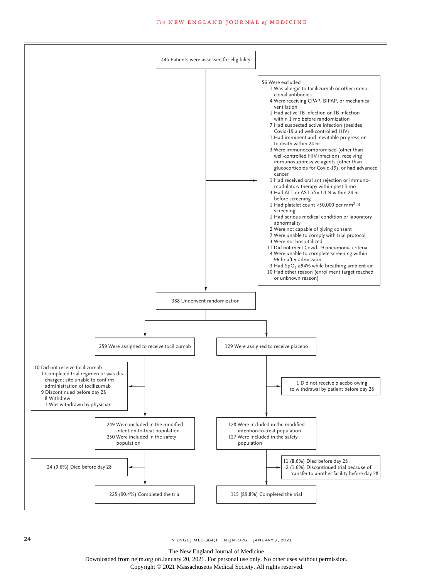

The New England Journal of Medicine

Downloaded from nejm.org on January 20, 2021. For personal use only. No other uses without permission.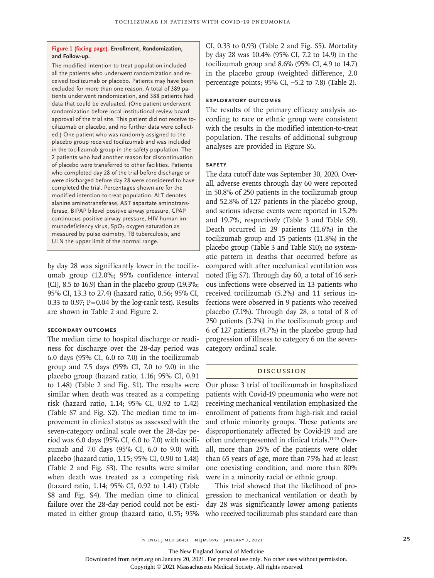#### **Figure 1 (facing page). Enrollment, Randomization, and Follow-up.**

The modified intention-to-treat population included all the patients who underwent randomization and received tocilizumab or placebo. Patients may have been excluded for more than one reason. A total of 389 patients underwent randomization, and 388 patients had data that could be evaluated. (One patient underwent randomization before local institutional review board approval of the trial site. This patient did not receive tocilizumab or placebo, and no further data were collected.) One patient who was randomly assigned to the placebo group received tocilizumab and was included in the tocilizumab group in the safety population. The 2 patients who had another reason for discontinuation of placebo were transferred to other facilities. Patients who completed day 28 of the trial before discharge or were discharged before day 28 were considered to have completed the trial. Percentages shown are for the modified intention-to-treat population. ALT denotes alanine aminotransferase, AST aspartate aminotransferase, BIPAP bilevel positive airway pressure, CPAP continuous positive airway pressure, HIV human immunodeficiency virus,  $SpO<sub>2</sub>$  oxygen saturation as measured by pulse oximetry, TB tuberculosis, and ULN the upper limit of the normal range.

by day 28 was significantly lower in the tocilizumab group (12.0%; 95% confidence interval [CI], 8.5 to 16.9) than in the placebo group (19.3%; 95% CI, 13.3 to 27.4) (hazard ratio, 0.56; 95% CI, 0.33 to 0.97;  $P = 0.04$  by the log-rank test). Results are shown in Table 2 and Figure 2.

## **Secondary Outcomes**

The median time to hospital discharge or readiness for discharge over the 28-day period was 6.0 days (95% CI, 6.0 to 7.0) in the tocilizumab group and 7.5 days (95% CI, 7.0 to 9.0) in the placebo group (hazard ratio, 1.16; 95% CI, 0.91 to 1.48) (Table 2 and Fig. S1). The results were similar when death was treated as a competing risk (hazard ratio, 1.14; 95% CI, 0.92 to 1.42) (Table S7 and Fig. S2). The median time to improvement in clinical status as assessed with the seven-category ordinal scale over the 28-day period was 6.0 days (95% CI, 6.0 to 7.0) with tocilizumab and 7.0 days (95% CI, 6.0 to 9.0) with placebo (hazard ratio, 1.15; 95% CI, 0.90 to 1.48) (Table 2 and Fig. S3). The results were similar when death was treated as a competing risk (hazard ratio, 1.14; 95% CI, 0.92 to 1.41) (Table S8 and Fig. S4). The median time to clinical failure over the 28-day period could not be estimated in either group (hazard ratio, 0.55; 95% CI, 0.33 to 0.93) (Table 2 and Fig. S5). Mortality by day 28 was 10.4% (95% CI, 7.2 to 14.9) in the tocilizumab group and 8.6% (95% CI, 4.9 to 14.7) in the placebo group (weighted difference, 2.0 percentage points; 95% CI, –5.2 to 7.8) (Table 2).

# **Exploratory Outcomes**

The results of the primary efficacy analysis according to race or ethnic group were consistent with the results in the modified intention-to-treat population. The results of additional subgroup analyses are provided in Figure S6.

## **Safety**

The data cutoff date was September 30, 2020. Overall, adverse events through day 60 were reported in 50.8% of 250 patients in the tocilizumab group and 52.8% of 127 patients in the placebo group, and serious adverse events were reported in 15.2% and 19.7%, respectively (Table 3 and Table S9). Death occurred in 29 patients (11.6%) in the tocilizumab group and 15 patients (11.8%) in the placebo group (Table 3 and Table S10); no systematic pattern in deaths that occurred before as compared with after mechanical ventilation was noted (Fig S7). Through day 60, a total of 16 serious infections were observed in 13 patients who received tocilizumab (5.2%) and 11 serious infections were observed in 9 patients who received placebo (7.1%). Through day 28, a total of 8 of 250 patients (3.2%) in the tocilizumab group and 6 of 127 patients (4.7%) in the placebo group had progression of illness to category 6 on the sevencategory ordinal scale.

### Discussion

Our phase 3 trial of tocilizumab in hospitalized patients with Covid-19 pneumonia who were not receiving mechanical ventilation emphasized the enrollment of patients from high-risk and racial and ethnic minority groups. These patients are disproportionately affected by Covid-19 and are often underrepresented in clinical trials.11-20 Overall, more than 25% of the patients were older than 65 years of age, more than 75% had at least one coexisting condition, and more than 80% were in a minority racial or ethnic group.

This trial showed that the likelihood of progression to mechanical ventilation or death by day 28 was significantly lower among patients who received tocilizumab plus standard care than

The New England Journal of Medicine

Downloaded from nejm.org on January 20, 2021. For personal use only. No other uses without permission.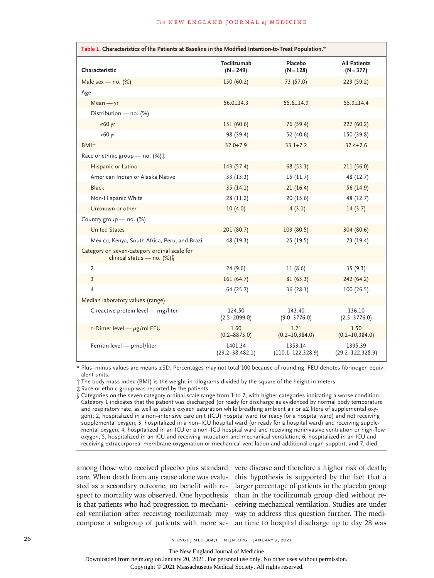| Table 1. Characteristics of the Patients at Baseline in the Modified Intention-to-Treat Population.* |                                 |                                   |                                    |  |  |  |  |
|------------------------------------------------------------------------------------------------------|---------------------------------|-----------------------------------|------------------------------------|--|--|--|--|
| Characteristic                                                                                       | Tocilizumab<br>$(N = 249)$      | Placebo<br>$(N = 128)$            | <b>All Patients</b><br>$(N = 377)$ |  |  |  |  |
| Male sex - no. $(%)$                                                                                 | 150(60.2)                       | 73 (57.0)                         | 223 (59.2)                         |  |  |  |  |
| Age                                                                                                  |                                 |                                   |                                    |  |  |  |  |
| $Mean - yr$                                                                                          | $56.0 \pm 14.3$                 | $55.6 \pm 14.9$                   | $55.9 \pm 14.4$                    |  |  |  |  |
| Distribution - no. (%)                                                                               |                                 |                                   |                                    |  |  |  |  |
| $≤60$ yr                                                                                             | 151(60.6)                       | 76 (59.4)                         | 227(60.2)                          |  |  |  |  |
| $>60$ yr                                                                                             | 98 (39.4)                       | 52 (40.6)                         | 150 (39.8)                         |  |  |  |  |
| BMI个                                                                                                 | $32.0 \pm 7.9$                  | $33.1 \pm 7.2$                    | $32.4 \pm 7.6$                     |  |  |  |  |
| Race or ethnic group - no. (%) ±                                                                     |                                 |                                   |                                    |  |  |  |  |
| Hispanic or Latino                                                                                   | 143(57.4)                       | 68 (53.1)                         | 211(56.0)                          |  |  |  |  |
| American Indian or Alaska Native                                                                     | 33(13.3)                        | 15(11.7)                          | 48 (12.7)                          |  |  |  |  |
| <b>Black</b>                                                                                         | 35(14.1)                        | 21(16.4)                          | 56 (14.9)                          |  |  |  |  |
| Non-Hispanic White                                                                                   | 28(11.2)                        | 20(15.6)                          | 48 (12.7)                          |  |  |  |  |
| Unknown or other                                                                                     | 10(4.0)                         | 4(3.1)                            | 14(3.7)                            |  |  |  |  |
| Country group - no. (%)                                                                              |                                 |                                   |                                    |  |  |  |  |
| <b>United States</b>                                                                                 | 201(80.7)                       | 103(80.5)                         | 304 (80.6)                         |  |  |  |  |
| Mexico, Kenya, South Africa, Peru, and Brazil                                                        | 48 (19.3)                       | 25(19.5)                          | 73 (19.4)                          |  |  |  |  |
| Category on seven-category ordinal scale for<br>clinical status - no. $(\%)$                         |                                 |                                   |                                    |  |  |  |  |
| 2                                                                                                    | 24(9.6)                         | 11(8.6)                           | 35(9.3)                            |  |  |  |  |
| $\overline{3}$                                                                                       | 161(64.7)                       | 81(63.3)                          | 242 (64.2)                         |  |  |  |  |
| 4                                                                                                    | 64 (25.7)                       | 36(28.1)                          | 100(26.5)                          |  |  |  |  |
| Median laboratory values (range)                                                                     |                                 |                                   |                                    |  |  |  |  |
| C-reactive protein level - mg/liter                                                                  | 124.50<br>$(2.5 - 2099.0)$      | 143.40<br>$(9.0 - 3776.0)$        | 136.10<br>$(2.5 - 3776.0)$         |  |  |  |  |
| D-Dimer level $-\mu$ g/ml FEU                                                                        | 1.60<br>$(0.2 - 8873.0)$        | 1.21<br>$(0.2 - 10, 384.0)$       | 1.50<br>$(0.2 - 10, 384.0)$        |  |  |  |  |
| Ferritin level - pmol/liter                                                                          | 1401.34<br>$(29.2 - 38, 482.1)$ | 1353.14<br>$(110.1 - 122, 328.9)$ | 1395.39<br>$(29.2 - 122, 328.9)$   |  |  |  |  |

\* Plus–minus values are means ±SD. Percentages may not total 100 because of rounding. FEU denotes fibrinogen equivalent units.

† The body-mass index (BMI) is the weight in kilograms divided by the square of the height in meters.

‡ Race or ethnic group was reported by the patients.

§ Categories on the seven-category ordinal scale range from 1 to 7, with higher categories indicating a worse condition. Category 1 indicates that the patient was discharged (or ready for discharge as evidenced by normal body temperature and respiratory rate, as well as stable oxygen saturation while breathing ambient air or ≤2 liters of supplemental oxygen); 2, hospitalized in a non–intensive care unit (ICU) hospital ward (or ready for a hospital ward) and not receiving supplemental oxygen; 3, hospitalized in a non–ICU hospital ward (or ready for a hospital ward) and receiving supplemental oxygen; 4, hospitalized in an ICU or a non–ICU hospital ward and receiving noninvasive ventilation or high-flow oxygen; 5, hospitalized in an ICU and receiving intubation and mechanical ventilation; 6, hospitalized in an ICU and receiving extracorporeal membrane oxygenation or mechanical ventilation and additional organ support; and 7, died.

among those who received placebo plus standard care. When death from any cause alone was evaluated as a secondary outcome, no benefit with respect to mortality was observed. One hypothesis is that patients who had progression to mechanical ventilation after receiving tocilizumab may way to address this question further. The medi-

compose a subgroup of patients with more se-an time to hospital discharge up to day 28 was vere disease and therefore a higher risk of death; this hypothesis is supported by the fact that a larger percentage of patients in the placebo group than in the tocilizumab group died without receiving mechanical ventilation. Studies are under

The New England Journal of Medicine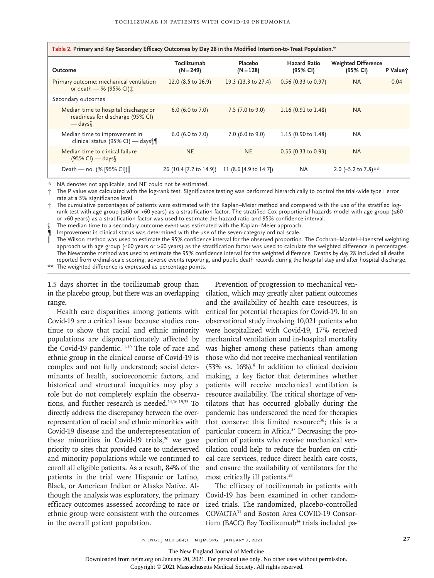| Table 2. Primary and Key Secondary Efficacy Outcomes by Day 28 in the Modified Intention-to-Treat Population.* |                               |                        |                                 |                                        |         |  |  |  |
|----------------------------------------------------------------------------------------------------------------|-------------------------------|------------------------|---------------------------------|----------------------------------------|---------|--|--|--|
| Outcome                                                                                                        | Tocilizumab<br>$(N = 249)$    | Placebo<br>$(N = 128)$ | <b>Hazard Ratio</b><br>(95% CI) | <b>Weighted Difference</b><br>(95% CI) | P Value |  |  |  |
| Primary outcome: mechanical ventilation<br>or death $-$ % (95% CI) $\pm$                                       | 12.0 $(8.5 \text{ to } 16.9)$ | 19.3 (13.3 to 27.4)    | 0.56 (0.33 to 0.97)             | <b>NA</b>                              | 0.04    |  |  |  |
| Secondary outcomes                                                                                             |                               |                        |                                 |                                        |         |  |  |  |
| Median time to hospital discharge or<br>readiness for discharge (95% CI)<br>$-\frac{days}{1}$                  | 6.0 (6.0 to 7.0)              | 7.5 (7.0 to 9.0)       | 1.16 $(0.91 \text{ to } 1.48)$  | <b>NA</b>                              |         |  |  |  |
| Median time to improvement in<br>clinical status (95% CI) — days                                               | 6.0 (6.0 to 7.0)              | 7.0 (6.0 to 9.0)       | 1.15 $(0.90 \text{ to } 1.48)$  | <b>NA</b>                              |         |  |  |  |
| Median time to clinical failure<br>$(95\%$ CI) — days                                                          | <b>NE</b>                     | <b>NE</b>              | $0.55$ (0.33 to 0.93)           | <b>NA</b>                              |         |  |  |  |
| Death — no. $(% [95% CI])$                                                                                     | 26 (10.4 [7.2 to 14.9])       | 11 (8.6 [4.9 to 14.7]) | <b>NA</b>                       | 2.0 (-5.2 to 7.8) **                   |         |  |  |  |

\* NA denotes not applicable, and NE could not be estimated.

† The P value was calculated with the log-rank test. Significance testing was performed hierarchically to control the trial-wide type I error rate at a 5% significance level.

‡ The cumulative percentages of patients were estimated with the Kaplan–Meier method and compared with the use of the stratified logrank test with age group (≤60 or >60 years) as a stratification factor. The stratified Cox proportional-hazards model with age group (≤60 or >60 years) as a stratification factor was used to estimate the hazard ratio and 95% confidence interval.

The median time to a secondary outcome event was estimated with the Kaplan–Meier approach.

¶ Improvement in clinical status was determined with the use of the seven-category ordinal scale.

The Wilson method was used to estimate the 95% confidence interval for the observed proportion. The Cochran–Mantel–Haenszel weighting approach with age group (≤60 years or >60 years) as the stratification factor was used to calculate the weighted difference in percentages. The Newcombe method was used to estimate the 95% confidence interval for the weighted difference. Deaths by day 28 included all deaths reported from ordinal-scale scoring, adverse events reporting, and public death records during the hospital stay and after hospital discharge. \*\* The weighted difference is expressed as percentage points.

1.5 days shorter in the tocilizumab group than in the placebo group, but there was an overlapping range.

Health care disparities among patients with Covid-19 are a critical issue because studies continue to show that racial and ethnic minority populations are disproportionately affected by the Covid-19 pandemic.<sup>11-19</sup> The role of race and ethnic group in the clinical course of Covid-19 is complex and not fully understood; social determinants of health, socioeconomic factors, and historical and structural inequities may play a role but do not completely explain the observations, and further research is needed. $14,16,19,35$  To directly address the discrepancy between the overrepresentation of racial and ethnic minorities with Covid-19 disease and the underrepresentation of these minorities in Covid-19 trials,<sup>20</sup> we gave priority to sites that provided care to underserved and minority populations while we continued to enroll all eligible patients. As a result, 84% of the patients in the trial were Hispanic or Latino, Black, or American Indian or Alaska Native. Although the analysis was exploratory, the primary efficacy outcomes assessed according to race or ethnic group were consistent with the outcomes in the overall patient population.

Prevention of progression to mechanical ventilation, which may greatly alter patient outcomes and the availability of health care resources, is critical for potential therapies for Covid-19. In an observational study involving 10,021 patients who were hospitalized with Covid-19, 17% received mechanical ventilation and in-hospital mortality was higher among these patients than among those who did not receive mechanical ventilation  $(53\% \text{ vs. } 16\%).$ <sup>8</sup> In addition to clinical decision making, a key factor that determines whether patients will receive mechanical ventilation is resource availability. The critical shortage of ventilators that has occurred globally during the pandemic has underscored the need for therapies that conserve this limited resource<sup>36</sup>; this is a particular concern in Africa.37 Decreasing the proportion of patients who receive mechanical ventilation could help to reduce the burden on critical care services, reduce direct health care costs, and ensure the availability of ventilators for the most critically ill patients.38

The efficacy of tocilizumab in patients with Covid-19 has been examined in other randomized trials. The randomized, placebo-controlled COVACTA31 and Boston Area COVID-19 Consortium (BACC) Bay Tocilizumab<sup>34</sup> trials included pa-

The New England Journal of Medicine

Downloaded from nejm.org on January 20, 2021. For personal use only. No other uses without permission.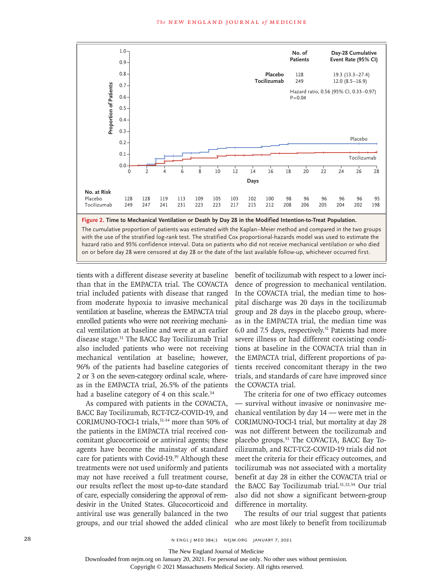

with the use of the stratified log-rank test. The stratified Cox proportional-hazards model was used to estimate the hazard ratio and 95% confidence interval. Data on patients who did not receive mechanical ventilation or who died

tients with a different disease severity at baseline than that in the EMPACTA trial. The COVACTA trial included patients with disease that ranged from moderate hypoxia to invasive mechanical ventilation at baseline, whereas the EMPACTA trial enrolled patients who were not receiving mechanical ventilation at baseline and were at an earlier disease stage.31 The BACC Bay Tocilizumab Trial also included patients who were not receiving mechanical ventilation at baseline; however, 96% of the patients had baseline categories of 2 or 3 on the seven-category ordinal scale, whereas in the EMPACTA trial, 26.5% of the patients had a baseline category of 4 on this scale.<sup>34</sup>

As compared with patients in the COVACTA, BACC Bay Tocilizumab, RCT-TCZ-COVID-19, and CORIMUNO-TOCI-1 trials,31-34 more than 50% of the patients in the EMPACTA trial received concomitant glucocorticoid or antiviral agents; these agents have become the mainstay of standard care for patients with Covid-19.<sup>39</sup> Although these treatments were not used uniformly and patients may not have received a full treatment course, our results reflect the most up-to-date standard of care, especially considering the approval of remdesivir in the United States. Glucocorticoid and antiviral use was generally balanced in the two

benefit of tocilizumab with respect to a lower incidence of progression to mechanical ventilation. In the COVACTA trial, the median time to hospital discharge was 20 days in the tocilizumab group and 28 days in the placebo group, whereas in the EMPACTA trial, the median time was 6.0 and 7.5 days, respectively.31 Patients had more severe illness or had different coexisting conditions at baseline in the COVACTA trial than in the EMPACTA trial, different proportions of patients received concomitant therapy in the two trials, and standards of care have improved since the COVACTA trial.

The criteria for one of two efficacy outcomes — survival without invasive or noninvasive mechanical ventilation by day 14 — were met in the CORIMUNO-TOCI-1 trial, but mortality at day 28 was not different between the tocilizumab and placebo groups.33 The COVACTA, BACC Bay Tocilizumab, and RCT-TCZ-COVID-19 trials did not meet the criteria for their efficacy outcomes, and tocilizumab was not associated with a mortality benefit at day 28 in either the COVACTA trial or the BACC Bay Tocilizumab trial.<sup>31,32,34</sup> Our trial also did not show a significant between-group difference in mortality.

groups, and our trial showed the added clinical who are most likely to benefit from tocilizumab The results of our trial suggest that patients

The New England Journal of Medicine

Downloaded from nejm.org on January 20, 2021. For personal use only. No other uses without permission.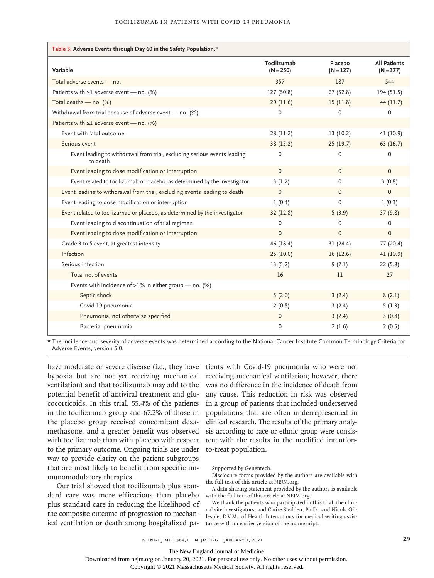| Table 3. Adverse Events through Day 60 in the Safety Population.*                    |                            |                        |                                    |  |  |  |  |
|--------------------------------------------------------------------------------------|----------------------------|------------------------|------------------------------------|--|--|--|--|
| Variable                                                                             | Tocilizumab<br>$(N = 250)$ | Placebo<br>$(N = 127)$ | <b>All Patients</b><br>$(N = 377)$ |  |  |  |  |
| Total adverse events - no.                                                           | 357                        | 187                    | 544                                |  |  |  |  |
| Patients with $\geq 1$ adverse event — no. (%)                                       | 127 (50.8)                 | 67 (52.8)              | 194 (51.5)                         |  |  |  |  |
| Total deaths - no. (%)                                                               | 29(11.6)                   | 15(11.8)               | 44 (11.7)                          |  |  |  |  |
| Withdrawal from trial because of adverse event - no. (%)                             | 0                          | 0                      | 0                                  |  |  |  |  |
| Patients with $\geq 1$ adverse event — no. (%)                                       |                            |                        |                                    |  |  |  |  |
| Event with fatal outcome                                                             | 28 (11.2)                  | 13(10.2)               | 41 (10.9)                          |  |  |  |  |
| Serious event                                                                        | 38 (15.2)                  | 25(19.7)               | 63(16.7)                           |  |  |  |  |
| Event leading to withdrawal from trial, excluding serious events leading<br>to death | $\Omega$                   | $\mathbf{0}$           | 0                                  |  |  |  |  |
| Event leading to dose modification or interruption                                   | $\mathbf{0}$               | $\mathbf{0}$           | $\mathbf{0}$                       |  |  |  |  |
| Event related to tocilizumab or placebo, as determined by the investigator           | 3(1.2)                     | 0                      | 3(0.8)                             |  |  |  |  |
| Event leading to withdrawal from trial, excluding events leading to death            | $\mathbf 0$                | $\Omega$               | $\mathbf{0}$                       |  |  |  |  |
| Event leading to dose modification or interruption                                   | 1(0.4)                     | $\mathbf{0}$           | 1(0.3)                             |  |  |  |  |
| Event related to tocilizumab or placebo, as determined by the investigator           | 32(12.8)                   | 5(3.9)                 | 37(9.8)                            |  |  |  |  |
| Event leading to discontinuation of trial regimen                                    | $\Omega$                   | 0                      | 0                                  |  |  |  |  |
| Event leading to dose modification or interruption                                   | $\Omega$                   | $\Omega$               | $\mathbf{0}$                       |  |  |  |  |
| Grade 3 to 5 event, at greatest intensity                                            | 46 (18.4)                  | 31(24.4)               | 77 (20.4)                          |  |  |  |  |
| Infection                                                                            | 25(10.0)                   | 16(12.6)               | 41 (10.9)                          |  |  |  |  |
| Serious infection                                                                    | 13(5.2)                    | 9(7.1)                 | 22(5.8)                            |  |  |  |  |
| Total no. of events                                                                  | 16                         | 11                     | 27                                 |  |  |  |  |
| Events with incidence of >1% in either group $-$ no. (%)                             |                            |                        |                                    |  |  |  |  |
| Septic shock                                                                         | 5(2.0)                     | 3(2.4)                 | 8(2.1)                             |  |  |  |  |
| Covid-19 pneumonia                                                                   | 2(0.8)                     | 3(2.4)                 | 5(1.3)                             |  |  |  |  |
| Pneumonia, not otherwise specified                                                   | $\mathbf 0$                | 3(2.4)                 | 3(0.8)                             |  |  |  |  |
| Bacterial pneumonia                                                                  | $\Omega$                   | 2(1.6)                 | 2(0.5)                             |  |  |  |  |

\* The incidence and severity of adverse events was determined according to the National Cancer Institute Common Terminology Criteria for Adverse Events, version 5.0.

have moderate or severe disease (i.e., they have tients with Covid-19 pneumonia who were not hypoxia but are not yet receiving mechanical ventilation) and that tocilizumab may add to the potential benefit of antiviral treatment and glucocorticoids. In this trial, 55.4% of the patients in the tocilizumab group and 67.2% of those in the placebo group received concomitant dexamethasone, and a greater benefit was observed with tocilizumab than with placebo with respect to the primary outcome. Ongoing trials are under way to provide clarity on the patient subgroups that are most likely to benefit from specific immunomodulatory therapies.

Our trial showed that tocilizumab plus standard care was more efficacious than placebo plus standard care in reducing the likelihood of the composite outcome of progression to mechanical ventilation or death among hospitalized pa-

receiving mechanical ventilation; however, there was no difference in the incidence of death from any cause. This reduction in risk was observed in a group of patients that included underserved populations that are often underrepresented in clinical research. The results of the primary analysis according to race or ethnic group were consistent with the results in the modified intentionto-treat population.

Supported by Genentech.

Disclosure forms provided by the authors are available with the full text of this article at NEJM.org.

A data sharing statement provided by the authors is available with the full text of this article at NEJM.org.

We thank the patients who participated in this trial, the clinical site investigators, and Claire Stedden, Ph.D., and Nicola Gillespie, D.V.M., of Health Interactions for medical writing assistance with an earlier version of the manuscript.

n engl j med 384;1 nejm.org January 7, 2021 29

The New England Journal of Medicine

Downloaded from nejm.org on January 20, 2021. For personal use only. No other uses without permission.